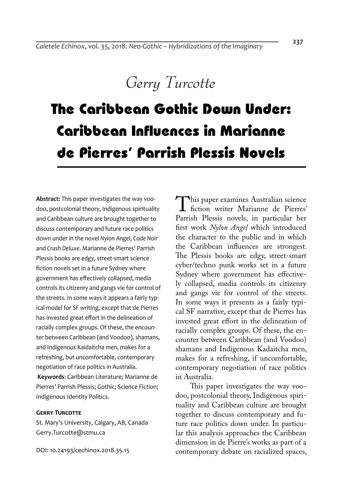## *Gerry Turcotte*

# The Caribbean Gothic Down Under: Caribbean Influences in Marianne de Pierres' Parrish Plessis Novels

**Abstract:** This paper investigates the way voodoo, postcolonial theory, Indigenous spirituality and Caribbean culture are brought together to discuss contemporary and future race politics down under in the novel *Nylon Angel*, *Code Noir* and *Crash Deluxe*. Marianne de Pierres' Parrish Plessis books are edgy, street-smart science fiction novels set in a future Sydney where government has effectively collapsed, media controls its citizenry and gangs vie for control of the streets. In some ways it appears a fairly typical model for SF writing, except that de Pierres has invested great effort in the delineation of racially complex groups. Of these, the encounter between Caribbean (and Voodoo), shamans, and Indigenous Kaidaitcha men, makes for a refreshing, but uncomfortable, contemporary negotiation of race politics in Australia.

**Keywords**: Caribbean Literature; Marianne de Pierres' Parrish Plessis; Gothic; Science Fiction; Indigenous Identity Politics.

#### **GERRY TURCOTTE**

St. Mary's University, Calgary, AB, Canada Gerry.Turcotte@stmu.ca

DOI: 10.24193/cechinox.2018.35.15

This paper examines Australian science<br>
fiction writer Marianne de Pierres'<br>
Parrish Plessis novels, in particular her Parrish Plessis novels, in particular her first work *Nylon Angel* which introduced the character to the public and in which the Caribbean influences are strongest. The Plessis books are edgy, street-smart cyber/techno punk works set in a future Sydney where government has effectively collapsed, media controls its citizenry and gangs vie for control of the streets. In some ways it presents as a fairly typical SF narrative, except that de Pierres has invested great effort in the delineation of racially complex groups. Of these, the encounter between Caribbean (and Voodoo) shamans and Indigenous Kadaitcha men, makes for a refreshing, if uncomfortable, contemporary negotiation of race politics in Australia.

This paper investigates the way voodoo, postcolonial theory, Indigenous spirituality and Caribbean culture are brought together to discuss contemporary and future race politics down under. In particular this analysis approaches the Caribbean dimension in de Pierre's works as part of a contemporary debate on racialized spaces,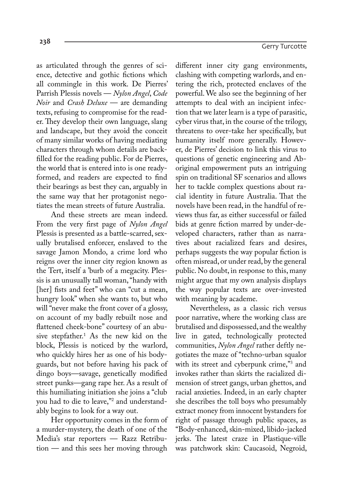as articulated through the genres of sci-

ence, detective and gothic fictions which all commingle in this work. De Pierres' Parrish Plessis novels — *Nylon Angel*, *Code Noir* and *Crash Deluxe* — are demanding texts, refusing to compromise for the reader. They develop their own language, slang and landscape, but they avoid the conceit of many similar works of having mediating characters through whom details are backfilled for the reading public. For de Pierres, the world that is entered into is one readyformed, and readers are expected to find their bearings as best they can, arguably in the same way that her protagonist negotiates the mean streets of future Australia.

And these streets are mean indeed. From the very first page of *Nylon Angel* Plessis is presented as a battle-scarred, sexually brutalised enforcer, enslaved to the savage Jamon Mondo, a crime lord who reigns over the inner city region known as the Tert, itself a 'burb of a megacity. Plessis is an unusually tall woman, "handy with [her] fists and feet" who can "cut a mean, hungry look" when she wants to, but who will "never make the front cover of a glossy, on account of my badly rebuilt nose and flattened cheek-bone" courtesy of an abusive stepfather.1 As the new kid on the block, Plessis is noticed by the warlord, who quickly hires her as one of his bodyguards, but not before having his pack of dingo boys—savage, genetically modified street punks—gang rape her. As a result of this humiliating initiation she joins a "club you had to die to leave,"2 and understandably begins to look for a way out.

Her opportunity comes in the form of a murder-mystery, the death of one of the Media's star reporters — Razz Retribution — and this sees her moving through

different inner city gang environments, clashing with competing warlords, and entering the rich, protected enclaves of the powerful. We also see the beginning of her attempts to deal with an incipient infection that we later learn is a type of parasitic, cyber virus that, in the course of the trilogy, threatens to over-take her specifically, but humanity itself more generally. However, de Pierres' decision to link this virus to questions of genetic engineering and Aboriginal empowerment puts an intriguing spin on traditional SF scenarios and allows her to tackle complex questions about racial identity in future Australia. That the novels have been read, in the handful of reviews thus far, as either successful or failed bids at genre fiction marred by under-developed characters, rather than as narratives about racialized fears and desires, perhaps suggests the way popular fiction is often misread, or under read, by the general public. No doubt, in response to this, many might argue that my own analysis displays the way popular texts are over-invested with meaning by academe.

Nevertheless, as a classic rich versus poor narrative, where the working class are brutalised and dispossessed, and the wealthy live in gated, technologically protected communities, *Nylon Angel* rather deftly negotiates the maze of "techno-urban squalor with its street and cyberpunk crime,"<sup>3</sup> and invokes rather than skirts the racialized dimension of street gangs, urban ghettos, and racial anxieties. Indeed, in an early chapter she describes the toll boys who presumably extract money from innocent bystanders for right of passage through public spaces, as "Body-enhanced, skin-mixed, libido-jacked jerks. The latest craze in Plastique-ville was patchwork skin: Caucasoid, Negroid,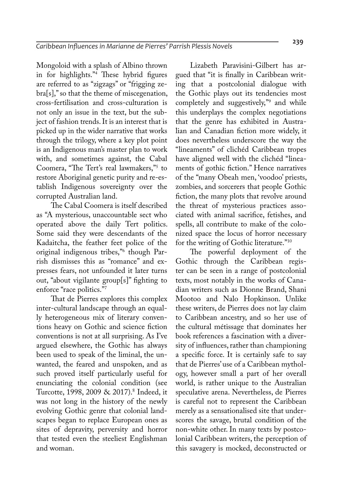Mongoloid with a splash of Albino thrown in for highlights."4 These hybrid figures are referred to as "zigzags" or "frigging zebra[s]," so that the theme of miscegenation, cross-fertilisation and cross-culturation is not only an issue in the text, but the subject of fashion trends. It is an interest that is picked up in the wider narrative that works through the trilogy, where a key plot point is an Indigenous man's master plan to work with, and sometimes against, the Cabal Coomera, "The Tert's real lawmakers,"5 to restore Aboriginal genetic purity and re-establish Indigenous sovereignty over the corrupted Australian land.

The Cabal Coomera is itself described as "A mysterious, unaccountable sect who operated above the daily Tert politics. Some said they were descendants of the Kadaitcha, the feather feet police of the original indigenous tribes,"6 though Parrish dismisses this as "romance" and expresses fears, not unfounded it later turns out, "about vigilante group[s]" fighting to enforce "race politics."7

That de Pierres explores this complex inter-cultural landscape through an equally heterogeneous mix of literary conventions heavy on Gothic and science fiction conventions is not at all surprising. As I've argued elsewhere, the Gothic has always been used to speak of the liminal, the unwanted, the feared and unspoken, and as such proved itself particularly useful for enunciating the colonial condition (see Turcotte, 1998, 2009 & 2017).<sup>8</sup> Indeed, it was not long in the history of the newly evolving Gothic genre that colonial landscapes began to replace European ones as sites of depravity, perversity and horror that tested even the steeliest Englishman and woman.

Lizabeth Paravisini-Gilbert has argued that "it is finally in Caribbean writing that a postcolonial dialogue with the Gothic plays out its tendencies most completely and suggestively,"9 and while this underplays the complex negotiations that the genre has exhibited in Australian and Canadian fiction more widely, it does nevertheless underscore the way the "lineaments" of clichéd Caribbean tropes have aligned well with the clichéd "lineaments of gothic fiction." Hence narratives of the "many Obeah men, 'voodoo' priests, zombies, and sorcerers that people Gothic fiction, the many plots that revolve around the threat of mysterious practices associated with animal sacrifice, fetishes, and spells, all contribute to make of the colonized space the locus of horror necessary for the writing of Gothic literature."10

The powerful deployment of the Gothic through the Caribbean register can be seen in a range of postcolonial texts, most notably in the works of Canadian writers such as Dionne Brand, Shani Mootoo and Nalo Hopkinson. Unlike these writers, de Pierres does not lay claim to Caribbean ancestry, and so her use of the cultural métissage that dominates her book references a fascination with a diversity of influences, rather than championing a specific force. It is certainly safe to say that de Pierres' use of a Caribbean mythology, however small a part of her overall world, is rather unique to the Australian speculative arena. Nevertheless, de Pierres is careful not to represent the Caribbean merely as a sensationalised site that underscores the savage, brutal condition of the non-white other. In many texts by postcolonial Caribbean writers, the perception of this savagery is mocked, deconstructed or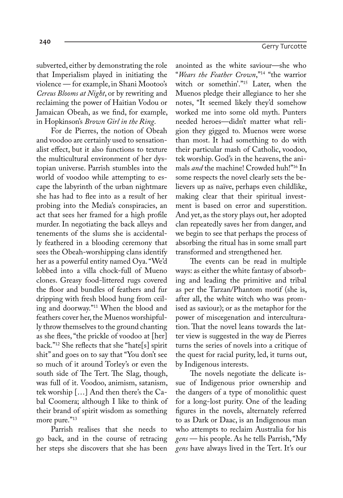subverted, either by demonstrating the role that Imperialism played in initiating the violence — for example, in Shani Mootoo's *Cereus Blooms at Night*, or by rewriting and reclaiming the power of Haitian Vodou or Jamaican Obeah, as we find, for example, in Hopkinson's *Brown Girl in the Ring*.

For de Pierres, the notion of Obeah and voodoo are certainly used to sensationalist effect, but it also functions to texture the multicultural environment of her dystopian universe. Parrish stumbles into the world of voodoo while attempting to escape the labyrinth of the urban nightmare she has had to flee into as a result of her probing into the Media's conspiracies, an act that sees her framed for a high profile murder. In negotiating the back alleys and tenements of the slums she is accidentally feathered in a blooding ceremony that sees the Obeah-worshipping clans identify her as a powerful entity named Oya. "We'd lobbed into a villa chock-full of Mueno clones. Greasy food-littered rugs covered the floor and bundles of feathers and fur dripping with fresh blood hung from ceiling and doorway."11 When the blood and feathers cover her, the Muenos worshipfully throw themselves to the ground chanting as she flees, "the prickle of voodoo at [her] back."12 She reflects that she "hate[s] spirit shit" and goes on to say that "You don't see so much of it around Torley's or even the south side of The Tert. The Slag, though, was full of it. Voodoo, animism, satanism, tek worship […] And then there's the Cabal Coomera; although I like to think of their brand of spirit wisdom as something more pure."<sup>13</sup>

Parrish realises that she needs to go back, and in the course of retracing her steps she discovers that she has been

anointed as the white saviour—she who "*Wears the Feather Crown*,"14 "the warrior witch or somethin'."15 Later, when the Muenos pledge their allegiance to her she notes, "It seemed likely they'd somehow worked me into some old myth. Punters needed heroes—didn't matter what religion they gigged to. Muenos were worse than most. It had something to do with their particular mash of Catholic, voodoo, tek worship. God's in the heavens, the animals *and* the machine! Crowded huh!"16 In some respects the novel clearly sets the believers up as naïve, perhaps even childlike, making clear that their spiritual investment is based on error and superstition. And yet, as the story plays out, her adopted clan repeatedly saves her from danger, and we begin to see that perhaps the process of absorbing the ritual has in some small part transformed and strengthened her.

The events can be read in multiple ways: as either the white fantasy of absorbing and leading the primitive and tribal as per the Tarzan/Phantom motif (she is, after all, the white witch who was promised as saviour); or as the metaphor for the power of miscegenation and interculturation. That the novel leans towards the latter view is suggested in the way de Pierres turns the series of novels into a critique of the quest for racial purity, led, it turns out, by Indigenous interests.

The novels negotiate the delicate issue of Indigenous prior ownership and the dangers of a type of monolithic quest for a long-lost purity. One of the leading figures in the novels, alternately referred to as Dark or Daac, is an Indigenous man who attempts to reclaim Australia for his *gens* — his people. As he tells Parrish, "My *gens* have always lived in the Tert. It's our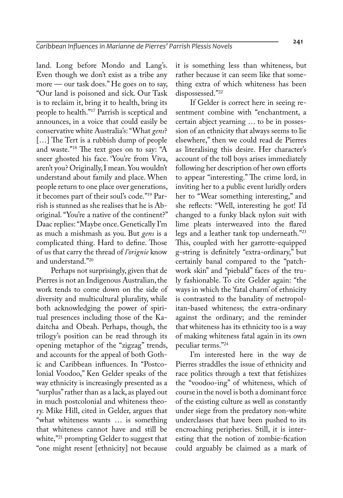land. Long before Mondo and Lang's. Even though we don't exist as a tribe any more — our task does." He goes on to say, "Our land is poisoned and sick. Our Task is to reclaim it, bring it to health, bring its people to health."17 Parrish is sceptical and announces, in a voice that could easily be conservative white Australia's: "What *gens*? [...] The Tert is a rubbish dump of people and waste."<sup>18</sup> The text goes on to say: "A sneer ghosted his face. 'You're from Viva, aren't you? Originally, I mean. You wouldn't understand about family and place. When people return to one place over generations, it becomes part of their soul's code."19 Parrish is stunned as she realises that he is Aboriginal. "You're a native of the continent?" Daac replies: "Maybe once. Genetically I'm as much a mishmash as you. But *gens* is a complicated thing. Hard to define. Those of us that carry the thread of *l'orignie* know and understand."20

Perhaps not surprisingly, given that de Pierres is not an Indigenous Australian, the work tends to come down on the side of diversity and multicultural plurality, while both acknowledging the power of spiritual presences including those of the Kadaitcha and Obeah. Perhaps, though, the trilogy's position can be read through its opening metaphor of the "zigzag" trends, and accounts for the appeal of both Gothic and Caribbean influences. In "Postcolonial Voodoo," Ken Gelder speaks of the way ethnicity is increasingly presented as a "surplus" rather than as a lack, as played out in much postcolonial and whiteness theory. Mike Hill, cited in Gelder, argues that "what whiteness wants … is something that whiteness cannot have and still be white,"<sup>21</sup> prompting Gelder to suggest that "one might resent [ethnicity] not because

it is something less than whiteness, but rather because it can seem like that something extra of which whiteness has been dispossessed."22

If Gelder is correct here in seeing resentment combine with "enchantment, a certain abject yearning … to be in possession of an ethnicity that always seems to lie elsewhere," then we could read de Pierres as literalising this desire. Her character's account of the toll boys arises immediately following her description of her own efforts to appear "interesting." The crime lord, in inviting her to a public event luridly orders her to "Wear something interesting," and she reflects: "Well, interesting he got! I'd changed to a funky black nylon suit with lime pleats interweaved into the flared legs and a leather tank top underneath."23 This, coupled with her garrotte-equipped g-string is definitely "extra-ordinary," but certainly banal compared to the "patchwork skin" and "piebald" faces of the truly fashionable. To cite Gelder again: "the ways in which the 'fatal charm' of ethnicity is contrasted to the banality of metropolitan-based whiteness; the extra-ordinary against the ordinary; and the reminder that whiteness has its ethnicity too is a way of making whiteness fatal again in its own peculiar terms."24

I'm interested here in the way de Pierres straddles the issue of ethnicity and race politics through a text that fetishizes the "voodoo-ing" of whiteness, which of course in the novel is both a dominant force of the existing culture as well as constantly under siege from the predatory non-white underclasses that have been pushed to its encroaching peripheries. Still, it is interesting that the notion of zombie-fication could arguably be claimed as a mark of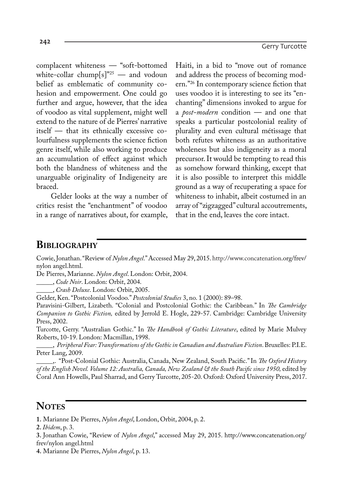complacent whiteness — "soft-bottomed white-collar chump[s]"<sup>25</sup> — and vodoun belief as emblematic of community cohesion and empowerment. One could go further and argue, however, that the idea of voodoo as vital supplement, might well extend to the nature of de Pierres' narrative itself — that its ethnically excessive colourfulness supplements the science fiction genre itself, while also working to produce an accumulation of effect against which both the blandness of whiteness and the unarguable originality of Indigeneity are braced.

Gelder looks at the way a number of critics resist the "enchantment" of voodoo in a range of narratives about, for example,

Haiti, in a bid to "move out of romance and address the process of becoming modern."26 In contemporary science fiction that uses voodoo it is interesting to see its "enchanting" dimensions invoked to argue for a *post-modern* condition — and one that speaks a particular postcolonial reality of plurality and even cultural métissage that both refutes whiteness as an authoritative wholeness but also indigeneity as a moral precursor. It would be tempting to read this as somehow forward thinking, except that it is also possible to interpret this middle ground as a way of recuperating a space for whiteness to inhabit, albeit costumed in an array of "zigzagged" cultural accoutrements, that in the end, leaves the core intact.

### **Bibliography**

Cowie, Jonathan. "Review of *Nylon Angel*." Accessed May 29, 2015. http://www.concatenation.org/frev/ nylon angel.html.

De Pierres, Marianne. *Nylon Angel*. London: Orbit, 2004.

\_\_\_\_\_, *Code Noir*. London: Orbit, 2004.

\_\_\_\_\_, *Crash Deluxe*. London: Orbit, 2005.

Gelder, Ken. "Postcolonial Voodoo." *Postcolonial Studies* 3, no. 1 (2000): 89–98.

Paravisini-Gilbert, Lizabeth. "Colonial and Postcolonial Gothic: the Caribbean." In *The Cambridge Companion to Gothic Fiction,* edited by Jerrold E. Hogle, 229-57. Cambridge: Cambridge University Press, 2002.

Turcotte, Gerry. "Australian Gothic." In *The Handbook of Gothic Literature*, edited by Marie Mulvey Roberts, 10-19. London: Macmillan, 1998.

\_\_\_\_\_, *Peripheral Fear: Transformations of the Gothic in Canadian and Australian Fiction*. Bruxelles: P.I.E. Peter Lang, 2009.

\_\_\_\_\_,. "Post-Colonial Gothic: Australia, Canada, New Zealand, South Pacific." In *The Oxford History of the English Novel. Volume 12: Australia, Canada, New Zealand & the South Pacific since 1950,* edited by Coral Ann Howells, Paul Sharrad, and Gerry Turcotte, 205-20. Oxford: Oxford University Press, 2017.

## **NOTES**

**1.** Marianne De Pierres, *Nylon Angel*, London, Orbit, 2004, p. 2.

**2.** *Ibidem*, p. 3.

**3.** Jonathan Cowie, "Review of *Nylon Angel*," accessed May 29, 2015. http://www.concatenation.org/ frev/nylon angel.html

**4.** Marianne De Pierres, *Nylon Angel*, p. 13.